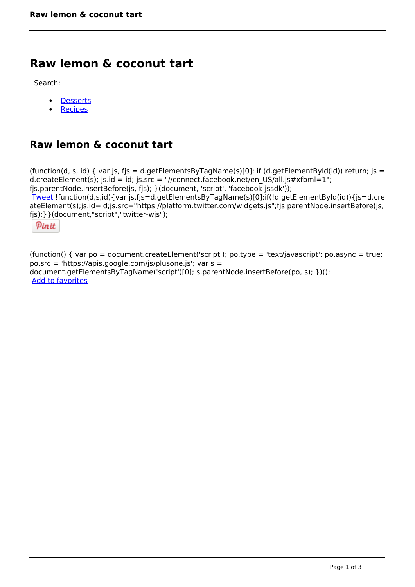## **Raw lemon & coconut tart**

Search:

- **[Desserts](https://www.naturalhealthmag.com.au/nourish/desserts)**  $\bullet$
- [Recipes](https://www.naturalhealthmag.com.au/nourish/recipes)

## **Raw lemon & coconut tart**

(function(d, s, id) { var js, fjs = d.getElementsByTagName(s)[0]; if (d.getElementById(id)) return; js = d.createElement(s); js.id = id; js.src = "//connect.facebook.net/en\_US/all.js#xfbml=1"; fjs.parentNode.insertBefore(js, fjs); }(document, 'script', 'facebook-jssdk')); [Tweet](https://twitter.com/share) !function(d,s,id){var js,fjs=d.getElementsByTagName(s)[0];if(!d.getElementById(id)){js=d.cre ateElement(s);js.id=id;js.src="https://platform.twitter.com/widgets.js";fjs.parentNode.insertBefore(js, fjs);}}(document,"script","twitter-wjs");

Pinit

(function() { var po = document.createElement('script'); po.type = 'text/javascript'; po.async = true; po.src = 'https://apis.google.com/js/plusone.js'; var s = document.getElementsByTagName('script')[0]; s.parentNode.insertBefore(po, s); })(); Add to favorites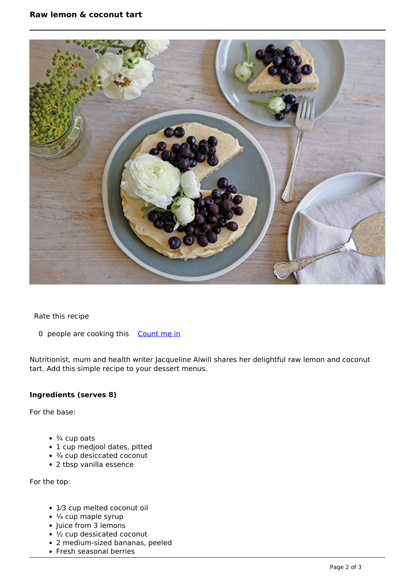

Rate this recipe

0 people are cooking this [Count me in](https://www.naturalhealthmag.com.au/flag/flag/favorites/1906?destination=printpdf%2F1906&token=bd90a359849e34b88abded4c4adbaa41)

Nutritionist, mum and health writer Jacqueline Alwill shares her delightful raw lemon and coconut tart. Add this simple recipe to your dessert menus.

## **Ingredients (serves 8)**

For the base:

- $\cdot$   $\frac{3}{4}$  cup oats
- 1 cup medjool dates, pitted
- $\cdot$   $\frac{3}{4}$  cup desiccated coconut
- 2 tbsp vanilla essence

For the top:

- 1⁄3 cup melted coconut oil
- $\cdot$  ¼ cup maple syrup
- Juice from 3 lemons
- ½ cup dessicated coconut
- 2 medium-sized bananas, peeled
- Fresh seasonal berries